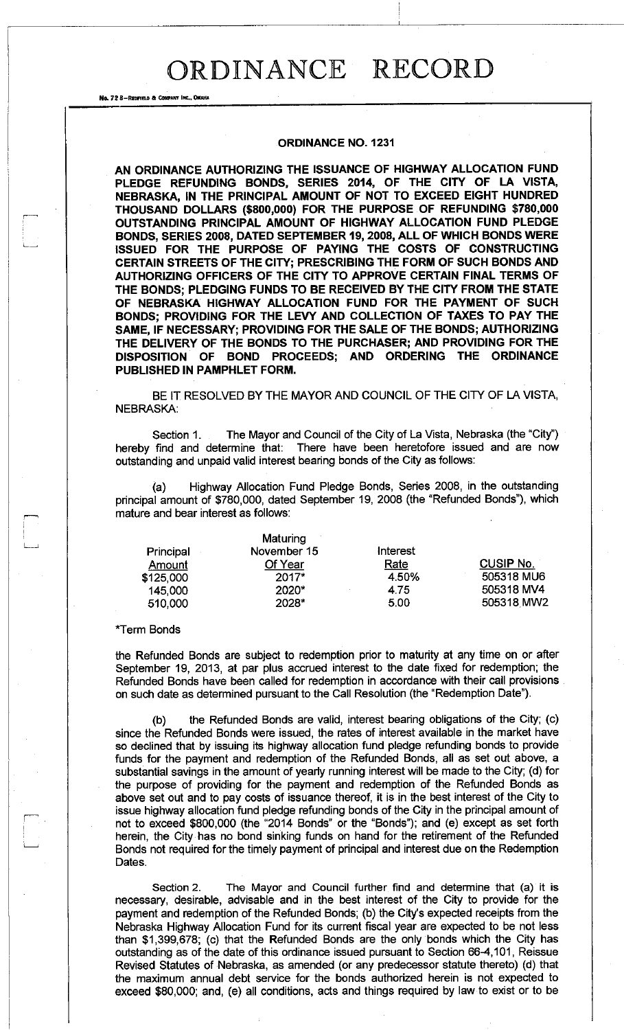### **ORDINANCE NO. 1231**

**AN ORDINANCE AUTHORIZING THE ISSUANCE OF HIGHWAY ALLOCATION FUND PLEDGE REFUNDING BONDS, SERIES 2014, OF THE CITY OF LA VISTA, NEBRASKA, IN THE PRINCIPAL AMOUNT OF NOT TO EXCEED EIGHT HUNDRED THOUSAND DOLLARS (\$800,000) FOR THE PURPOSE OF REFUNDING \$780,000 OUTSTANDING PRINCIPAL AMOUNT OF HIGHWAY ALLOCATION FUND PLEDGE BONDS, SERIES 2008, DATED SEPTEMBER 19, 2008, ALL OF WHICH BONDS WERE ISSUED FOR THE PURPOSE OF PAYING THE COSTS OF CONSTRUCTING CERTAIN STREETS OF THE CITY; PRESCRIBING THE FORM OF SUCH BONDS AND AUTHORIZING OFFICERS OF THE CITY TO APPROVE CERTAIN FINAL TERMS OF THE BONDS; PLEDGING FUNDS TO BE RECEIVED BY THE CITY FROM THE STATE OF NEBRASKA HIGHWAY ALLOCATION FUND FOR THE PAYMENT OF SUCH BONDS; PROVIDING FOR THE LEVY AND COLLECTION OF TAXES TO PAY THE SAME, IF NECESSARY; PROVIDING FOR THE SALE OF THE BONDS; AUTHORIZING THE DELIVERY OF THE BONDS TO THE PURCHASER; AND PROVIDING FOR THE DISPOSITION OF BOND PROCEEDS; AND ORDERING THE ORDINANCE PUBLISHED IN PAMPHLET FORM.** 

BE IT RESOLVED BY THE MAYOR AND COUNCIL OF THE CITY OF LA VISTA, NEBRASKA:

Section 1. The Mayor and Council of the City of La Vista, Nebraska (the "City") hereby find and determine that: There have been heretofore issued and are now outstanding and unpaid valid interest bearing bonds of the City as follows:

Highway Allocation Fund Pledge Bonds, Series 2008, in the outstanding principal amount of \$780,000, dated September 19, 2008 (the "Refunded Bonds"), which mature and bear interest as follows:

|           | Maturing    |          |                  |
|-----------|-------------|----------|------------------|
| Principal | November 15 | Interest |                  |
| Amount    | Of Year     | Rate     | <b>CUSIP No.</b> |
| \$125,000 | $2017*$     | 4.50%    | 505318 MU6       |
| 145,000   | $2020*$     | 4.75     | 505318 MV4       |
| 510,000   | 2028*       | 5.00     | 505318 MW2       |

#### Term Bonds

.<br>L<sub>imme</sub>nt

No, 72 8-REDFIELD a COMPANY INC., OKMU

the Refunded Bonds are subject to redemption prior to maturity at any time on or after September 19, 2013, at par plus accrued interest to the date fixed for redemption; the Refunded Bonds have been called for redemption in accordance with their call provisions on such date as determined pursuant to the Call Resolution (the "Redemption Date").

(b) the Refunded Bonds are valid, interest bearing obligations of the City; (c) since the Refunded Bonds were issued, the rates of interest available in the market have so declined that by issuing its highway allocation fund pledge refunding bonds to provide funds for the payment and redemption of the Refunded Bonds, all as set out above, a substantial savings in the amount of yearly running interest will be made to the City; (d) for the purpose of providing for the payment and redemption of the Refunded Bonds as above set out and to pay costs of issuance thereof, it is in the best interest of the City to issue highway allocation fund pledge refunding bonds of the City in the principal amount of not to exceed \$800,000 (the "2014 Bonds" or the "Bonds"); and (e) except as set forth herein, the City has no bond sinking funds on hand for the retirement of the Refunded Bonds not required for the timely payment of principal and interest due on the Redemption Dates.

Section 2. The Mayor and Council further find and determine that (a) it is necessary, desirable, advisable and in the best interest of the City to provide for the payment and redemption of the Refunded Bonds; (b) the City's expected receipts from the Nebraska Highway Allocation Fund for its current fiscal year are expected to be not less than \$1,399,678; (c) that the Refunded Bonds are the only bonds which the City has outstanding as of the date of this ordinance issued pursuant to Section 66-4,101, Reissue Revised Statutes of Nebraska, as amended (or any predecessor statute thereto) (d) that the maximum annual debt service for the bonds authorized herein is not expected to exceed \$80,000; and, (e) all conditions, acts and things required by law to exist or to be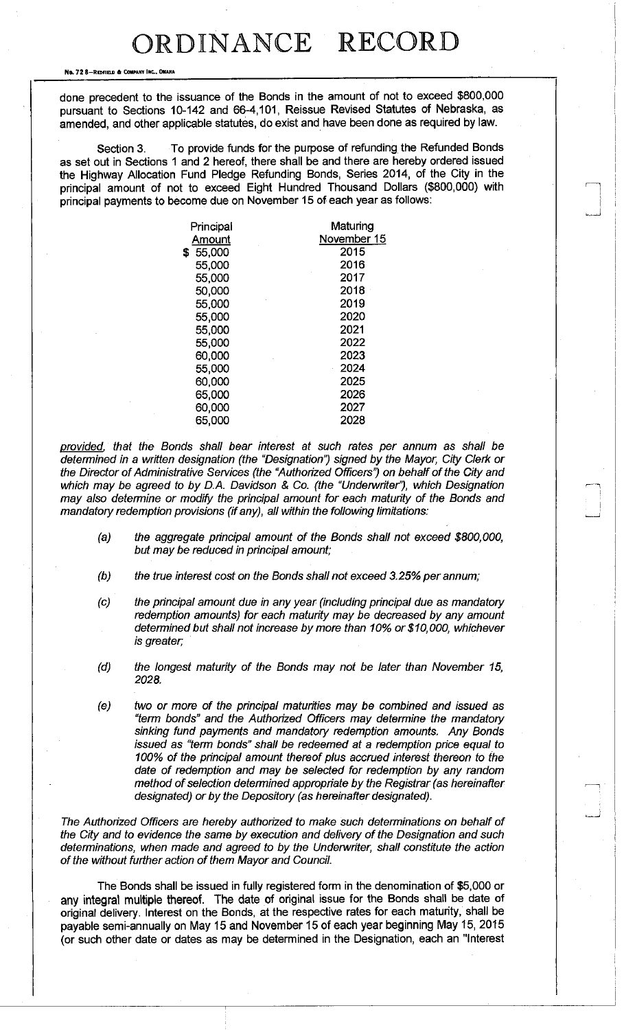No. 72 8-REDFIELD & COMPANY INC., OMAHA

 $$$ 

done precedent to the issuance of the Bonds in the amount of not to exceed \$800,000 pursuant to Sections 10-142 and 66-4,101, Reissue Revised Statutes of Nebraska, as amended, and other applicable statutes, do exist and have been done as required by law.

Section 3. To provide funds for the purpose of refunding the Refunded Bonds as set out in Sections 1 and 2 hereof, there shall be and there are hereby ordered issued the Highway Allocation Fund Pledge Refunding Bonds, Series 2014, of the City in the principal amount of not to exceed Eight Hundred Thousand Dollars (\$800,000) with principal payments to become due on November 15 of each year as follows:

| Principal | Maturing    |
|-----------|-------------|
| Amount    | November 15 |
| 55,000    | 2015        |
| 55,000    | 2016        |
| 55,000    | 2017        |
| 50,000    | 2018        |
| 55,000    | 2019        |
| 55,000    | 2020        |
| 55,000    | 2021        |
| 55,000    | 2022        |
| 60,000    | 2023        |
| 55,000    | 2024        |
| 60,000    | 2025        |
| 65,000    | 2026        |
| 60,000    | 2027        |
| 65,000    | 2028        |

*provided , that the Bonds shall bear interest at such rates per annum as shall be determined in a written designation (the "Designation") signed by the Mayor, City Clerk or the Director of Administrative Services (the "Authorized Officers') on behalf of the City and which may be agreed to by D.A. Davidson & Co. (the "Underwriter"), which Designation may also determine or modify the principal amount for each maturity of the Bonds and mandatory redemption provisions (if any), all within the following limitations:* 

- *(a) the aggregate principal amount of the Bonds shall not exceed \$800,000, but may be reduced in principal amount;*
- *(b) the true interest cost on the Bonds shall not exceed 3.25% per annum;*
- *(c) the principal amount due in any year (including principal due as mandatory redemption amounts) for each maturity may be decreased by any amount determined but shall not increase by more than 10% or \$10,000, whichever is greater;*
- *(d) the longest maturity of the Bonds may not be later than November 15, 2028.*
- *(e) two or more of the principal maturities may be combined and issued as "term bonds" and the Authorized Officers may determine the mandatory sinking fund payments and mandatory redemption amounts. Any Bonds issued as "term bonds" shall be redeemed at a redemption price equal to 100% of the principal amount thereof plus accrued interest thereon to the date of redemption and may be selected for redemption by any random method of selection determined appropriate by the Registrar (as hereinafter designated) or by the Depository (as hereinafter designated).*

*The Authorized Officers are hereby authorized to make such determinations on behalf of the City and to evidence the same by execution and delivery of the Designation and such determinations, when made and agreed to by the Underwriter, shall constitute the action of the without further action of them Mayor and Council.* 

The Bonds shall be issued in fully registered form in the denomination of \$5,000 or any integral multiple thereof. The date of original issue for the Bonds shall be date of original delivery. Interest on the Bonds, at the respective rates for each maturity, shall be payable semi-annually on May 15 and November 15 of each year beginning May 15, 2015 (or such other date or dates as may be determined in the Designation, each an "Interest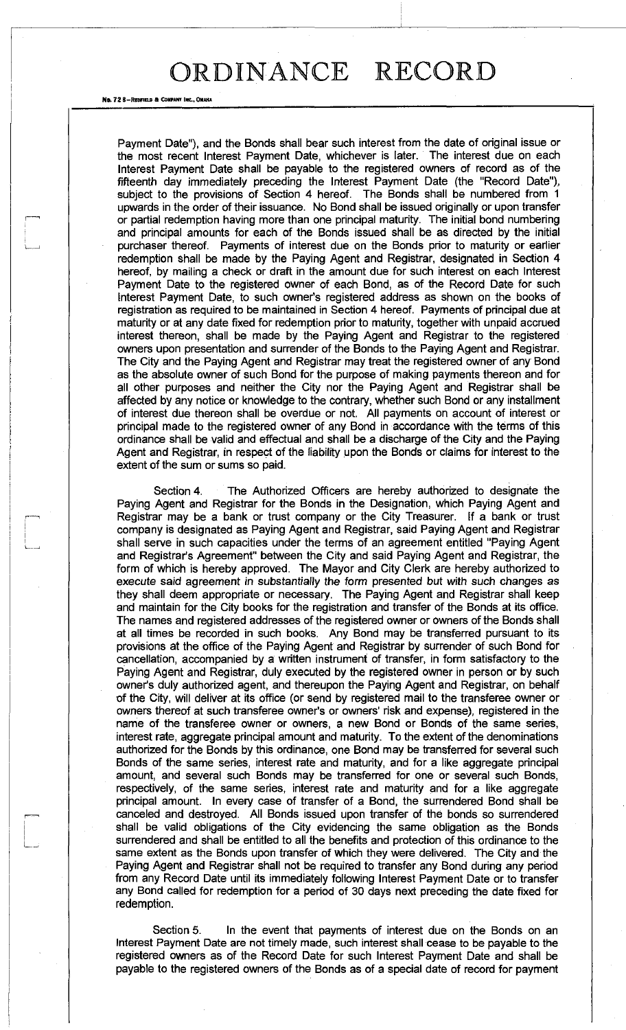No. 72 B-REOFIELD & COMPANY INC.

Payment Date"), and the Bonds shall bear such interest from the date of original issue or the most recent Interest Payment Date, whichever is later. The interest due on each Interest Payment Date shall be payable to the registered owners of record as of the fifteenth day immediately preceding the Interest Payment Date (the "Record Date"), subject to the provisions of Section 4 hereof. The Bonds shall be numbered from 1 upwards in the order of their issuance. No Bond shall be issued originally or upon transfer or partial redemption having more than one principal maturity. The initial bond numbering and principal amounts for each of the Bonds issued shall be as directed by the initial purchaser thereof. Payments of interest due on the Bonds prior to maturity or earlier redemption shall be made by the Paying Agent and Registrar, designated in Section 4 hereof, by mailing a check or draft in the amount due for such interest on each Interest Payment Date to the registered owner of each Bond, as of the Record Date for such Interest Payment Date, to such owner's registered address as shown on the books of registration as required to be maintained in Section 4 hereof. Payments of principal due at maturity or at any date fixed for redemption prior to maturity, together with unpaid accrued interest thereon, shall be made by the Paying Agent and Registrar to the registered owners upon presentation and surrender of the Bonds to the Paying Agent and Registrar. The City and the Paying Agent and Registrar may treat the registered owner of any Bond as the absolute owner of such Bond for the purpose of making payments thereon and for all other purposes and neither the City nor the Paying Agent and Registrar shall be affected by any notice or knowledge to the contrary, whether such Bond or any installment of interest due thereon shall be overdue or not. All payments on account of interest or principal made to the registered owner of any Bond in accordance with the terms of this ordinance shall be valid and effectual and shall be a discharge of the City and the Paying Agent and Registrar, in respect of the liability upon the Bonds or claims for interest to the extent of the sum or sums so paid.

Section 4. The Authorized Officers are hereby authorized to designate the Paying Agent and Registrar for the Bonds in the Designation, which Paying Agent and Registrar may be a bank or trust company or the City Treasurer. If a bank or trust company is designated as Paying Agent and Registrar, said Paying Agent and Registrar shall serve in such capacities under the terms of an agreement entitled "Paying Agent and Registrar's Agreement" between the City and said Paying Agent and Registrar, the form of which is hereby approved. The Mayor and City Clerk are hereby authorized to execute said agreement in substantially the form presented but with such changes as they shall deem appropriate or necessary. The Paying Agent and Registrar shall keep and maintain for the City books for the registration and transfer of the Bonds at its office. The names and registered addresses of the registered owner or owners of the Bonds shall at all times be recorded in such books. Any Bond may be transferred pursuant to its provisions at the office of the Paying Agent and Registrar by surrender of such Bond for cancellation, accompanied by a written instrument of transfer, in form satisfactory to the Paying Agent and Registrar, duly executed by the registered owner in person or by such owner's duly authorized agent, and thereupon the Paying Agent and Registrar, on behalf of the City, will deliver at its office (or send by registered mail to the transferee owner or owners thereof at such transferee owner's or owners' risk and expense), registered in the name of the transferee owner or owners, a new Bond or Bonds of the same series, interest rate, aggregate principal amount and maturity. To the extent of the denominations authorized for the Bonds by this ordinance, one Bond may be transferred for several such Bonds of the same series, interest rate and maturity, and for a like aggregate principal amount, and several such Bonds may be transferred for one or several such Bonds, respectively, of the same series, interest rate and maturity and for a like aggregate principal amount. In every case of transfer of a Bond, the surrendered Bond shall be canceled and destroyed. All Bonds issued upon transfer of the bonds so surrendered shall be valid obligations of the City evidencing the same obligation as the Bonds surrendered and shall be entitled to all the benefits and protection of this ordinance to the same extent as the Bonds upon transfer of which they were delivered. The City and the Paying Agent and Registrar shall not be required to transfer any Bond during any period from any Record Date until its immediately following Interest Payment Date or to transfer any Bond called for redemption for a period of 30 days next preceding the date fixed for redemption.

Section 5. In the event that payments of interest due on the Bonds on an Interest Payment Date are not timely made, such interest shall cease to be payable to the registered owners as of the Record Date for such Interest Payment Date and shall be payable to the registered owners of the Bonds as of a special date of record for payment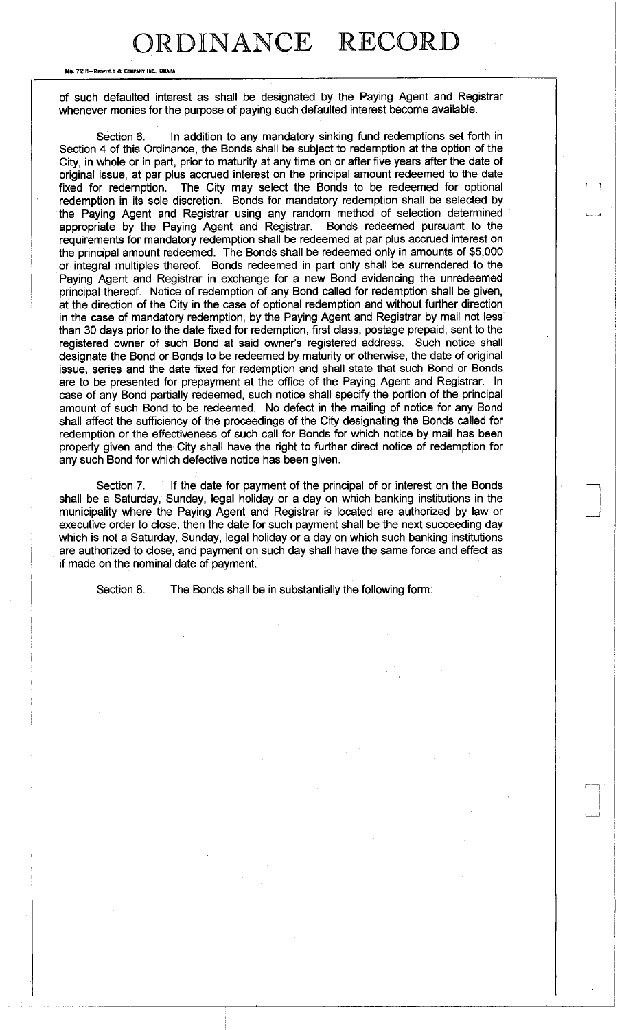No. 72 8-REDFIELD 6 COMPANY INC. OMAHA

of such defaulted interest as shall be designated by the Paying Agent and Registrar whenever monies for the purpose of paying such defaulted interest become available.

Section 6. In addition to any mandatory sinking fund redemptions set forth in Section 4 of this Ordinance, the Bonds shall be subject to redemption at the option of the City, in whole or in part, prior to maturity at any time on or after five years after the date of original issue, at par plus accrued interest on the principal amount redeemed to the date fixed for redemption: The City may select the Bonds to be redeemed for optional redemption in its sole discretion. Bonds for mandatory redemption shall be selected by the Paying Agent and Registrar using any random method of selection determined appropriate by the Paying Agent and Registrar. Bonds redeemed pursuant to the requirements for mandatory redemption shall be redeemed at par plus accrued interest on the principal amount redeemed. The Bonds shall be redeemed only in amounts of \$5,000 or integral multiples thereof. Bonds redeemed in part only shall be surrendered to the Paying Agent and Registrar in exchange for a new Bond evidencing the unredeemed principal thereof. Notice of redemption of any Bond called for redemption shall be given, at the direction of the City in the case of optional redemption and without further direction in the case of mandatory redemption, by the Paying Agent and Registrar by mail not less than 30 days prior to the date fixed for redemption, first class, postage prepaid, sent to the registered owner of such Bond at said owner's registered address. Such notice shall designate the Bond or Bonds to be redeemed by maturity or otherwise, the date of original issue, series and the date fixed for redemption and shall state that such Bond or Bonds are to be presented for prepayment at the office of the Paying Agent and Registrar. In case of any Bond partially redeemed, such notice shall specify the portion of the principal amount of such Bond to be redeemed. No defect in the mailing of notice for any Bond shall affect the sufficiency of the proceedings of the City designating the Bonds called for redemption or the effectiveness of such call for Bonds for which notice by mail has been properly given and the City shall have the right to further direct notice of redemption for any such Bond for which defective notice has been given.

Section 7. If the date for payment of the principal of or interest on the Bonds shall be a Saturday, Sunday, legal holiday or a day on which banking institutions in the municipality where the Paying Agent and Registrar is located are authorized by law or executive order to close, then the date for such payment shall be the next succeeding day which is not a Saturday, Sunday, legal holiday or a day on which such banking institutions are authorized to close, and payment on such day shall have the same force and effect as if made on the nominal date of payment.

Section 8. The Bonds shall be in substantially the following form: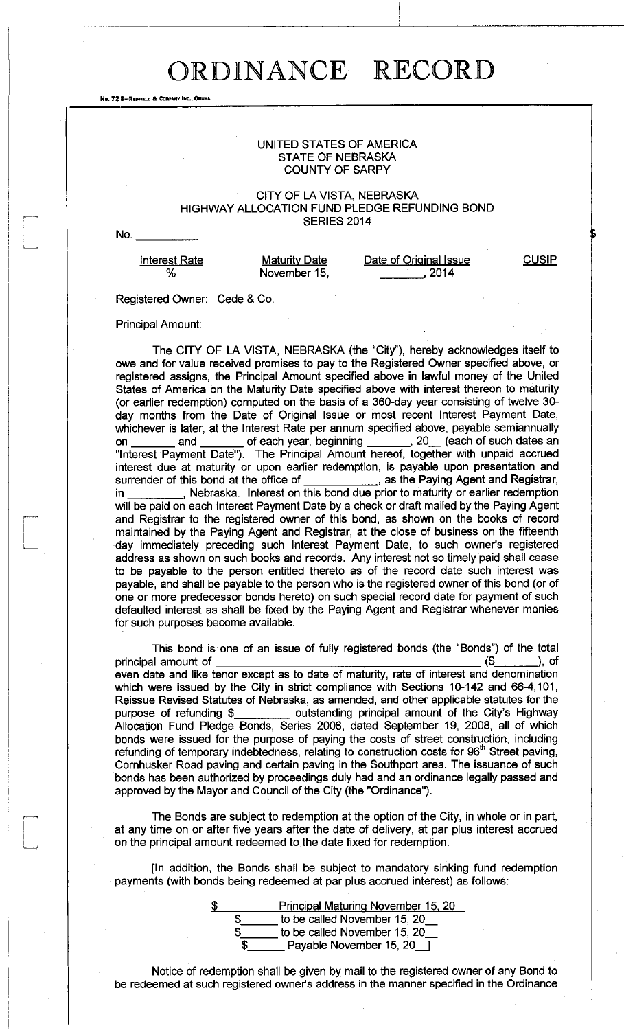No. 72 8-REDFIELD & COMPANY INC., OMAHA

### UNITED STATES OF AMERICA STATE OF NEBRASKA COUNTY OF SARPY

#### CITY OF LA VISTA, NEBRASKA HIGHWAY ALLOCATION FUND PLEDGE REFUNDING BOND SERIES 2014

No.

**Interest Rate %** 

**Maturity Date** November 15,

Date of Original Issue  $\frac{2014}{20}$ 

**CUSIP** 

Registered Owner: Cede & Co.

Principal Amount:

The CITY OF LA VISTA, NEBRASKA (the "City"), hereby acknowledges itself to owe and for value received promises to pay to the Registered Owner specified above, or registered assigns, the Principal Amount specified above in lawful money of the United States of America on the Maturity Date specified above with interest thereon to maturity (or earlier redemption) computed on the basis of a 360-day year consisting of twelve 30 day months from the Date of Original Issue or most recent Interest Payment Date, whichever is later, at the Interest Rate per annum specified above, payable semiannually on \_\_\_\_\_\_\_ and \_\_\_\_\_\_\_ of each year, beginning \_\_\_\_\_\_, 20 each of such dates an "Interest Payment Date"). The Principal Amount hereof, together with unpaid accrued interest due at maturity or upon earlier redemption, is payable upon presentation and surrender of this bond at the office of \_\_\_\_\_\_\_\_\_\_\_\_\_, as the Paying Agent and Registrar,  $\frac{1}{2}$  as the Paying Agent and Registrar, in \_\_\_\_\_\_\_\_\_, Nebraska. Interest on this bond due prior to maturity or earlier redemption will be paid on each Interest Payment Date by a check or draft mailed by the Paying Agent and Registrar to the registered owner of this bond, as shown on the books of record maintained by the Paying Agent and Registrar, at the close of business on the fifteenth day immediately preceding such Interest Payment Date, to such owner's registered address as shown on such books and records. Any interest not so timely paid shall cease to be payable to the person entitled thereto as of the record date such interest was payable, and shall be payable to the person who is the registered owner of this bond (or of one or more predecessor bonds hereto) on such special record date for payment of such defaulted interest as shall be fixed by the Paying Agent and Registrar whenever monies for such purposes become available.

This bond is one of an issue of fully registered bonds (the "Bonds") of the total principal amount of  $($ \$  $)$ , of even date and like tenor except as to date of maturity, rate of interest and denomination which were issued by the City in strict compliance with Sections 10-142 and 66-4,101, Reissue Revised Statutes of Nebraska, as amended, and other applicable statutes for the purpose of refunding \$ Allocation Fund Pledge Bonds, Series 2008, dated September 19, 2008, all of which bonds were issued for the purpose of paying the costs of street construction, including refunding of temporary indebtedness, relating to construction costs for  $96<sup>th</sup>$  Street paving, Cornhusker Road paving and certain paving in the Southport area. The issuance of such bonds has been authorized by proceedings duly had and an ordinance legally passed and approved by the Mayor and Council of the City (the "Ordinance").

The Bonds are subject to redemption at the option of the City, in whole or in part, at any time on or after five years after the date of delivery, at par plus interest accrued on the principal amount redeemed to the date fixed for redemption.

[In addition, the Bonds shall be subject to mandatory sinking fund redemption payments (with bonds being redeemed at par plus accrued interest) as follows:

| \$<br>Principal Maturing November 15, 20 |
|------------------------------------------|
| to be called November 15, 20             |
| to be called November 15, 20             |
| Payable November 15, 20                  |

Notice of redemption shall be given by mail to the registered owner of any Bond to be redeemed at such registered owner's address in the manner specified in the Ordinance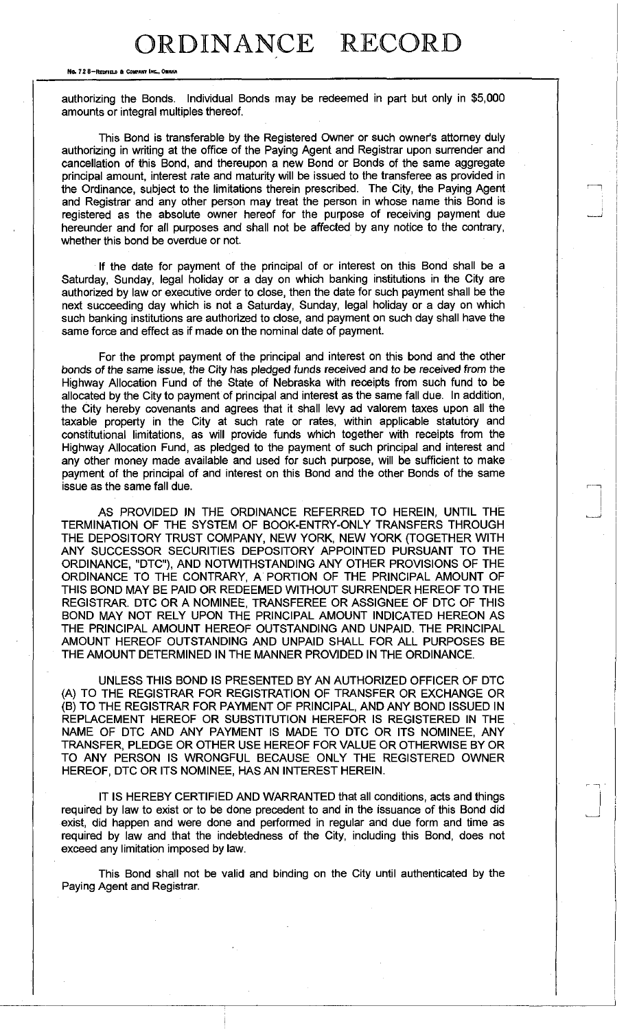No. 72 8-REDFIELD & COMPANY INC., OMAH

authorizing the Bonds. Individual Bonds may be redeemed in part but only in \$5,000 amounts or integral multiples thereof.

This Bond is transferable by the Registered Owner or such owner's attorney duly authorizing in writing at the office of the Paying Agent and Registrar upon surrender and cancellation of this Bond, and thereupon a new Bond or Bonds of the same aggregate principal amount, interest rate and maturity will be issued to the transferee as provided in the Ordinance, subject to the limitations therein prescribed. The City, the Paying Agent and Registrar and any other person may treat the person in whose name this Bond is registered as the absolute owner hereof for the purpose of receiving payment due hereunder and for all purposes and shall not be affected by any notice to the contrary, whether this bond be overdue or not.

If the date for payment of the principal of or interest on this Bond shall be a Saturday, Sunday, legal holiday or a day on which banking institutions in the City are authorized by law or executive order to close, then the date for such payment shall be the next succeeding day which is not a Saturday, Sunday, legal holiday or a day on which such banking institutions are authorized to close, and payment on such day shall have the same force and effect as if made on the nominal date of payment.

For the prompt payment of the principal and interest on this bond and the other bonds of the same *issue, the* City has pledged funds received and to be received *from* the Highway Allocation Fund of the State of Nebraska with receipts from such fund to be allocated by the City to payment of principal and interest as the same fall due. In addition, the City hereby covenants and agrees that it shall levy ad valorem taxes upon all the taxable property in the City at such rate or rates, within applicable statutory and constitutional limitations, as will provide funds which together with receipts from the Highway Allocation Fund, as pledged to the payment of such principal and interest and any other money made available and used for such purpose, will be sufficient to make payment of the principal of and interest on this Bond and the other Bonds of the same issue as the same fall due.

AS PROVIDED IN THE ORDINANCE REFERRED TO HEREIN, UNTIL THE TERMINATION OF THE SYSTEM OF BOOK-ENTRY-ONLY TRANSFERS THROUGH THE DEPOSITORY TRUST COMPANY, NEW YORK, NEW YORK (TOGETHER WITH ANY SUCCESSOR SECURITIES DEPOSITORY APPOINTED PURSUANT TO THE ORDINANCE, "DTC"), AND NOTWITHSTANDING ANY OTHER PROVISIONS OF THE ORDINANCE TO THE CONTRARY, A PORTION OF THE PRINCIPAL AMOUNT OF THIS BOND MAY BE PAID OR REDEEMED WITHOUT SURRENDER HEREOF TO THE REGISTRAR. DTC OR A NOMINEE, TRANSFEREE OR ASSIGNEE OF DTC OF THIS BOND MAY NOT RELY UPON THE PRINCIPAL AMOUNT INDICATED HEREON AS THE PRINCIPAL AMOUNT HEREOF OUTSTANDING AND UNPAID. THE PRINCIPAL AMOUNT HEREOF OUTSTANDING AND UNPAID SHALL FOR ALL PURPOSES BE THE AMOUNT DETERMINED IN THE MANNER PROVIDED IN THE ORDINANCE.

UNLESS THIS BOND IS PRESENTED BY AN AUTHORIZED OFFICER OF DTC (A) TO THE REGISTRAR FOR REGISTRATION OF TRANSFER OR EXCHANGE OR (B) TO THE REGISTRAR FOR PAYMENT OF PRINCIPAL, AND ANY BOND ISSUED IN REPLACEMENT HEREOF OR SUBSTITUTION HEREFOR IS REGISTERED IN THE NAME OF DTC AND ANY PAYMENT IS MADE TO DTC OR ITS NOMINEE, ANY TRANSFER, PLEDGE OR OTHER USE HEREOF FOR VALUE OR OTHERWISE BY OR TO ANY PERSON IS WRONGFUL BECAUSE ONLY THE REGISTERED OWNER HEREOF, DTC OR ITS NOMINEE, HAS AN INTEREST HEREIN.

IT IS HEREBY CERTIFIED AND WARRANTED that all conditions, acts and things required by law to exist or to be done precedent to and in the issuance of this Bond did exist, did happen and were done and performed in regular and due form and time as required by law and that the indebtedness of the City, including this Bond, does not exceed any limitation imposed by law.

This Bond shall not be valid and binding on the City until authenticated by the Paying Agent and Registrar.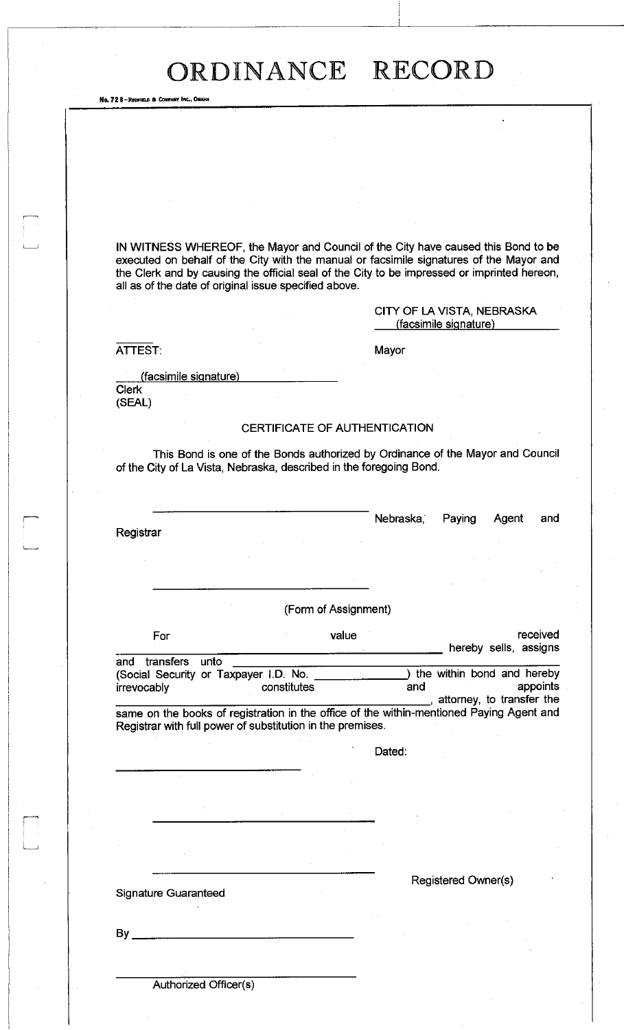No. 72 8-REDFIELD & COMPANY INC., OMAHA

IN WITNESS WHEREOF, the Mayor and Council of the City have caused this Bond to be executed on behalf of the City with the manual or facsimile signatures of the Mayor and the Clerk and by causing the official seal of the City to be impressed or imprinted hereon, all as of the date of original issue specified above.

> CITY OF LA VISTA, NEBRASKA (facsimile signature)

ATTEST: Mayor

(facsimile signature)

Clerk (SEAL)

### CERTIFICATE OF AUTHENTICATION

This Bond is one of the Bonds authorized by Ordinance of the Mayor and Council of the City of La Vista, Nebraska, described in the foregoing Bond.

**Registrar** 

Nebraska, Paying Agent and

(Form of Assignment)

For value value and the received hereby sells, assigns and transfers unto (Social Security or Taxpayer I.D. No. 1997) the within bond and hereby irrevocably constitutes and appoints irrevocably constitutes and and , attorney, to transfer the

same on the books of registration in the office of the within-mentioned Paying Agent and Registrar with full power of substitution in the premises.

Dated:

Signature Guaranteed

Registered Owner(s)

By

Authorized Officer(s)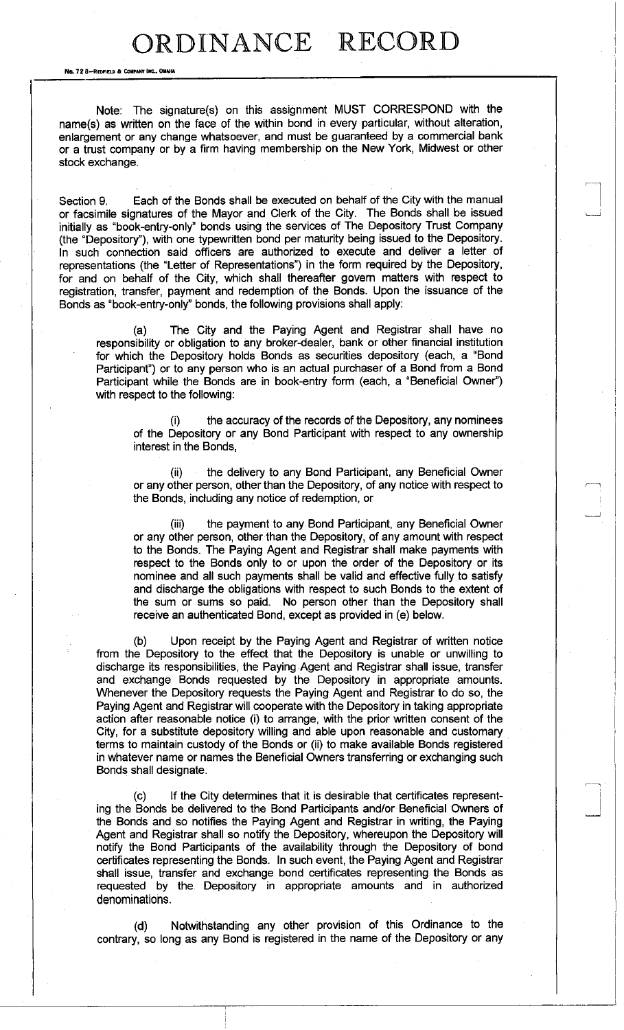No. 72 8-REDFIELD & COMPANY INC., OMAHA

Note: The signature(s) on this assignment MUST CORRESPOND with the name(s) as written on the face of the within bond in every particular, without alteration, enlargement or any change whatsoever, and must be guaranteed by a commercial bank or a trust company or by a firm having membership on the New York, Midwest or other stock exchange.

Section 9. Each of the Bonds shall be executed on behalf of the City with the manual or facsimile signatures of the Mayor and Clerk of the City. The Bonds shall be issued initially as "book-entry-only" bonds using the services of The Depository Trust Company (the "Depository"), with one typewritten bond per maturity being issued to the Depository. In such connection said officers are authorized to execute and deliver a letter of representations (the "Letter of Representations") in the form required by the Depository, for and on behalf of the City, which shall thereafter govern matters with respect to registration, transfer, payment and redemption of the Bonds. Upon the issuance of the Bonds as "book-entry-only" bonds, the following provisions shall apply:

(a) The City and the Paying Agent and Registrar shall have no responsibility or obligation to any broker-dealer, bank or other financial institution for which the Depository holds Bonds as securities depository (each, a "Bond Participant") or to any person who is an actual purchaser of a Bond from a Bond Participant while the Bonds are in book-entry form (each, a "Beneficial Owner") with respect to the following:

(i) the accuracy of the records of the Depository, any nominees of the Depository or any Bond Participant with respect to any ownership interest in the Bonds,

(ii) the delivery to any Bond Participant, any Beneficial Owner or any other person, other than the Depository, of any notice with respect to the Bonds, including any notice of redemption, or

(iii) the payment to any Bond Participant, any Beneficial Owner or any other person, other than the Depository, of any amount with respect to the Bonds. The Paying Agent and Registrar shall make payments with respect to the Bonds only to or upon the order of the Depository or its nominee and all such payments shall be valid and effective fully to satisfy and discharge the obligations with respect to such Bonds to the extent of the sum or sums so paid. No person other than the Depository shall receive an authenticated Bond, except as provided in (e) below.

(b) Upon receipt by the Paying Agent and Registrar of written notice from the Depository to the effect that the Depository is unable or unwilling to discharge its responsibilities, the Paying Agent and Registrar shall issue, transfer and exchange Bonds requested by the Depository in appropriate amounts. Whenever the Depository requests the Paying Agent and Registrar to do so, the Paying Agent and Registrar will cooperate with the Depository in taking appropriate action after reasonable notice (i) to arrange, with the prior written consent of the City, for a substitute depository willing and able upon reasonable and customary terms to maintain custody of the Bonds or (ii) to make available Bonds registered in whatever name or names the Beneficial Owners transferring or exchanging such Bonds shall designate.

If the City determines that it is desirable that certificates representing the Bonds be delivered to the Bond Participants and/or Beneficial Owners of the Bonds and so notifies the Paying Agent and Registrar in writing, the Paying Agent and Registrar shall so notify the Depository, whereupon the Depository will notify the Bond Participants of the availability through the Depository of bond certificates representing the Bonds. In such event, the Paying Agent and Registrar shall issue, transfer and exchange bond certificates representing the Bonds as requested by the Depository in appropriate amounts and in authorized denominations.

(d) Notwithstanding any other provision of this Ordinance to the contrary, so long as any Bond is registered in the name of the Depository or any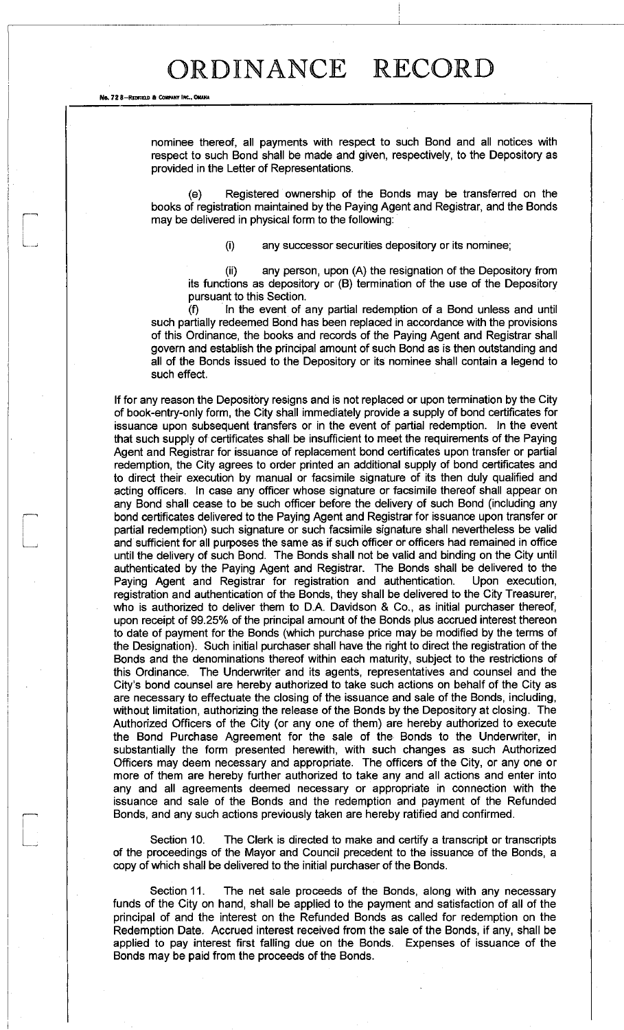No. 72 8-REDFIELD & COMPANY INC., OMAHA

nominee thereof, all payments with respect to such Bond and all notices with respect to such Bond shall be made and given, respectively, to the Depository as provided in the Letter of Representations.

(e) Registered ownership of the Bonds may be transferred on the books of registration maintained by the Paying Agent and Registrar, and the Bonds may be delivered in physical form to the following:

(i) any successor securities depository or its nominee;

(ii) any person, upon (A) the resignation of the Depository from its functions as depository or (B) termination of the use of the Depository pursuant to this Section.

(f) In the event of any partial redemption of a Bond unless and until such partially redeemed Bond has been replaced in accordance with the provisions of this Ordinance, the books and records of the Paying Agent and Registrar shall govern and establish the principal amount of such Bond as is then outstanding and all of the Bonds issued to the Depository or its nominee shall contain a legend to such effect.

If for any reason the Depository resigns and is not replaced or upon termination by the City of book-entry-only form, the City shall immediately provide a supply of bond certificates for issuance upon subsequent transfers or in the event of partial redemption. In the event that such supply of certificates shall be insufficient to meet the requirements of the Paying Agent and Registrar for issuance of replacement bond certificates upon transfer or partial redemption, the City agrees to order printed an additional supply of bond certificates and to direct their execution by manual or facsimile signature of its then duly qualified and acting officers. In case any officer whose signature or facsimile thereof shall appear on any Bond shall cease to be such officer before the delivery of such Bond (including any bond certificates delivered to the Paying Agent and Registrar for issuance upon transfer or partial redemption) such signature or such facsimile signature shall nevertheless be valid and sufficient for all purposes the same as if such officer or officers had remained in office until the delivery of such Bond. The Bonds shall not be valid and binding on the City until authenticated by the Paying Agent and Registrar. The Bonds shall be delivered to the Paying Agent and Registrar for registration and authentication. Upon execution, registration and authentication of the Bonds, they shall be delivered to the City Treasurer, who is authorized to deliver them to D.A. Davidson & Co., as initial purchaser thereof, upon receipt of 99.25% of the principal amount of the Bonds plus accrued interest thereon to date of payment for the Bonds (which purchase price may be modified by the terms of the Designation). Such initial purchaser shall have the right to direct the registration of the Bonds and the denominations thereof within each maturity, subject to the restrictions of this Ordinance. The Underwriter and its agents, representatives and counsel and the City's bond counsel are hereby authorized to take such actions on behalf of the City as are necessary to effectuate the closing of the issuance and sale of the Bonds, including, without limitation, authorizing the release of the Bonds by the Depository at closing. The Authorized Officers of the City (or any one of them) are hereby authorized to execute the Bond Purchase Agreement for the sale of the Bonds to the Underwriter, in substantially the form presented herewith, with such changes as such Authorized Officers may deem necessary and appropriate. The officers of the City, or any one or more of them are hereby further authorized to take any and all actions and enter into any and all agreements deemed necessary or appropriate in connection with the issuance and sale of the Bonds and the redemption and payment of the Refunded Bonds, and any such actions previously taken are hereby ratified and confirmed.

Section 10. The Clerk is directed to make and certify a transcript or transcripts of the proceedings of the Mayor and Council precedent to the issuance of the Bonds, a copy of which shall be delivered to the initial purchaser of the Bonds.

Section 11. The net sale proceeds of the Bonds, along with any necessary funds of the City on hand, shall be applied to the payment and satisfaction of all of the principal of and the interest on the Refunded Bonds as called for redemption on the Redemption Date. Accrued interest received from the sale of the Bonds, if any, shall be applied to pay interest first falling due on the Bonds. Expenses of issuance of the Bonds may be paid from the proceeds of the Bonds.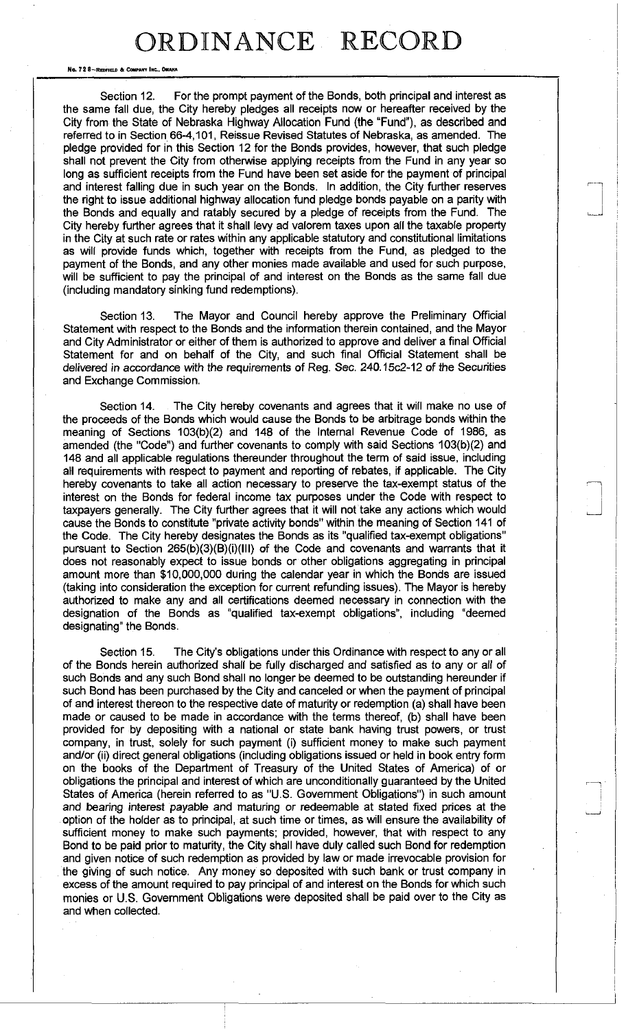No. 72 8-REDFIELD & COMPANY INC., O

Section 12. For the prompt payment of the Bonds, both principal and interest as the same fall due, the City hereby pledges all receipts now or hereafter received by the City from the State of Nebraska Highway Allocation Fund (the "Fund"), as described and referred to in Section 66-4,101, Reissue Revised Statutes of Nebraska, as amended. The pledge provided for in this Section 12 for the Bonds provides, however, that such pledge shall not prevent the City from otherwise applying receipts from the Fund in any year so long as sufficient receipts from the Fund have been set aside for the payment of principal and interest falling due in such year on the Bonds. In addition, the City further reserves the right to issue additional highway allocation fund pledge bonds payable on a parity with the Bonds and equally and ratably secured by a pledge of receipts from the Fund. The City hereby further agrees that it shall levy ad valorem taxes upon all the taxable property in the City at such rate or rates within any applicable statutory and constitutional limitations as will provide funds which, together with receipts from the Fund, as pledged to the payment of the Bonds, and any other monies made available and used for such purpose, will be sufficient to pay the principal of and interest on the Bonds as the same fall due (including mandatory sinking fund redemptions).

Section 13. The Mayor and Council hereby approve the Preliminary Official Statement with respect to the Bonds and the information therein contained, and the Mayor and City Administrator or either of them is authorized to approve and deliver a final Official Statement for and on behalf of the City, and such final Official Statement shall be delivered in accordance with the requirements of Reg. Sec. 240.15c2-12 of the Securities and Exchange Commission.

Section 14. The City hereby covenants and agrees that it will make no use of the proceeds of the Bonds which would cause the Bonds to be arbitrage bonds within the meaning of Sections 103(b)(2) and 148 of the Internal Revenue Code of 1986, as amended (the "Code") and further covenants to comply with said Sections 103(b)(2) and 148 and all applicable regulations thereunder throughout the term of said issue, including all requirements with respect to payment and reporting of rebates, if applicable. The City hereby covenants to take all action necessary to preserve the tax-exempt status of the interest on the Bonds for federal income tax purposes under the Code with respect to taxpayers generally. The City further agrees that it will not take any actions which would cause the Bonds to constitute "private activity bonds" within the meaning of Section 141 of the Code. The City hereby designates the Bonds as its "qualified tax-exempt obligations" pursuant to Section 265(b)(3)(B)(i)(III) of the Code and covenants and warrants that it does not reasonably expect to issue bonds or other obligations aggregating in principal amount more than \$10,000,000 during the calendar year in which the Bonds are issued (taking into consideration the exception for current refunding issues). The Mayor is hereby authorized to make any and all certifications deemed necessary in connection with the designation of the Bonds as "qualified tax-exempt obligations", including "deemed designating" the Bonds.

Section 15. The City's obligations under this Ordinance with respect to any or all of the Bonds herein authorized shall be fully discharged and satisfied as to any or all of such Bonds and any such Bond shall no longer be deemed to be outstanding hereunder if such Bond has been purchased by the City and canceled or when the payment of principal of and interest thereon to the respective date of maturity or redemption (a) shall have been made or caused to be made in accordance with the terms thereof, (b) shall have been provided for by depositing with a national or state bank having trust powers, or trust company, in trust, solely for such payment (i) sufficient money to make such payment and/or (ii) direct general obligations (including obligations issued or held in book entry form on the books of the Department of Treasury of the United States of America) of or obligations the principal and interest of which are unconditionally guaranteed by the United States of America (herein referred to as "U.S. Government Obligations") in such amount and bearing interest payable and maturing or redeemable at stated fixed prices at the option of the holder as to principal, at such time or times, as will ensure the availability of sufficient money to make such payments; provided, however, that with respect to any Bond to be paid prior to maturity, the City shall have duly called such Bond for redemption and given notice of such redemption as provided by law or made irrevocable provision for the giving of such notice. Any money so deposited with such bank or trust company in excess of the amount required to pay principal of and interest on the Bonds for which such monies or U.S. Government Obligations were deposited shall be paid over to the City as and when collected.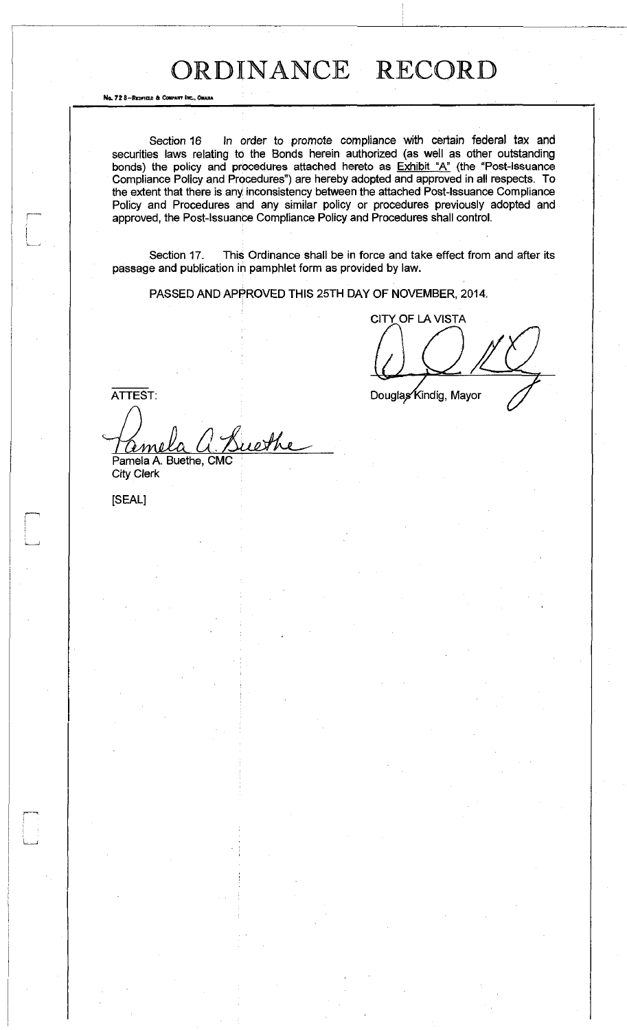Section 16 In order to promote compliance with certain federal tax and securities laws relating to the Bonds herein authorized (as well as other outstanding bonds) the policy and procedures attached hereto as **Exhibit "A"** (the "Post-Issuance Compliance Policy and Procedures") are hereby adopted and approved in all respects. To the extent that there is any inconsistency between the attached Post-Issuance Compliance Policy and Procedures and any similar policy or procedures previously adopted and approved, the Post-Issuance Compliance Policy and Procedures shall control.

Section 17. This Ordinance shall be in force and take effect from and after its passage and publication in pamphlet form as provided by law.

PASSED AND APPROVED THIS 25TH DAY OF NOVEMBER, 2014.

CITY OF LA VISTA

Douglas Kindig, Mayor

ATTEST:

I 1

i\_

No. 72 8-REDFIELD & COMPANY INC., OMAHA

whe <u>ame</u> Pamela A. Buethe, CMC City Clerk

[SEAL]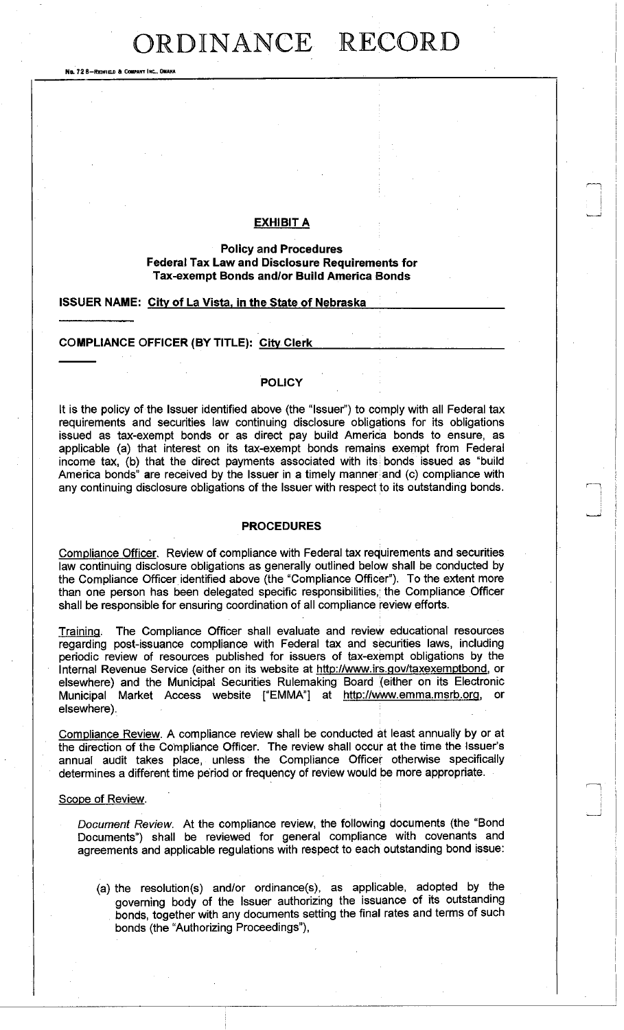No. 72 8-REDFIELO » COMPANY INC., OMAHA

### **EXHIBIT A**

### **Policy and Procedures Federal Tax Law and Disclosure Requirements for Tax-exempt Bonds and/or Build America Bonds**

#### **ISSUER NAME: City of La Vista, in the State of Nebraska**

### **COMPLIANCE OFFICER (BY TITLE): Citv Clerk**

### **POLICY**

It is the policy of the Issuer identified above (the "Issuer") to comply with all Federal tax requirements and securities law continuing disclosure obligations for its obligations issued as tax-exempt bonds or as direct pay build America bonds to ensure, as applicable (a) that interest on its tax-exempt bonds remains exempt from Federal income tax, (b) that the direct payments associated with its bonds issued as "build America bonds" are received by the Issuer in a timely manner; and (c) compliance with any continuing disclosure obligations of the Issuer with respect to its outstanding bonds.

### **PROCEDURES**

Compliance Officer. Review of compliance with Federal tax requirements and securities law continuing disclosure obligations as generally outlined below shall be conducted by the Compliance Officer identified above (the "Compliance Officer"). To the extent more than one person has been delegated specific responsibilities,; the Compliance Officer shall be responsible for ensuring coordination of all compliance review efforts.

Training. The Compliance Officer shall evaluate and review educational resources regarding post-issuance compliance with Federal tax and securities laws, including periodic review of resources published for issuers of tax-exempt obligations by the Internal Revenue Service (either on its website at http://www.irs.gov/taxexemptbond[,](http://www.irs.gov/taxexemptbond) or elsewhere) and the Municipal Securities Rulemaking Board (either on its Electronic Municipal Market Access website ["EMMA"] at http://www.emma.msrb.or[g,](http://www.emma.msrb.org) or elsewhere).

Compliance Review. A compliance review shall be conducted at least annually by or at the direction of the Compliance Officer. The review shall occur at the time the Issuer's annual audit takes place, unless the Compliance Officer otherwise specifically determines a different time period or frequency of review would be more appropriate.

#### Scope of Review.

*Document Review.* At the compliance review, the following documents (the "Bond Documents") shall be reviewed for general compliance with covenants and agreements and applicable regulations with respect to each outstanding bond issue:

(a) the resolution(s) and/or ordinance(s), as applicable, adopted by the governing body of the Issuer authorizing the issuance of its outstanding bonds, together with any documents setting the final rates and terms of such bonds (the "Authorizing Proceedings"),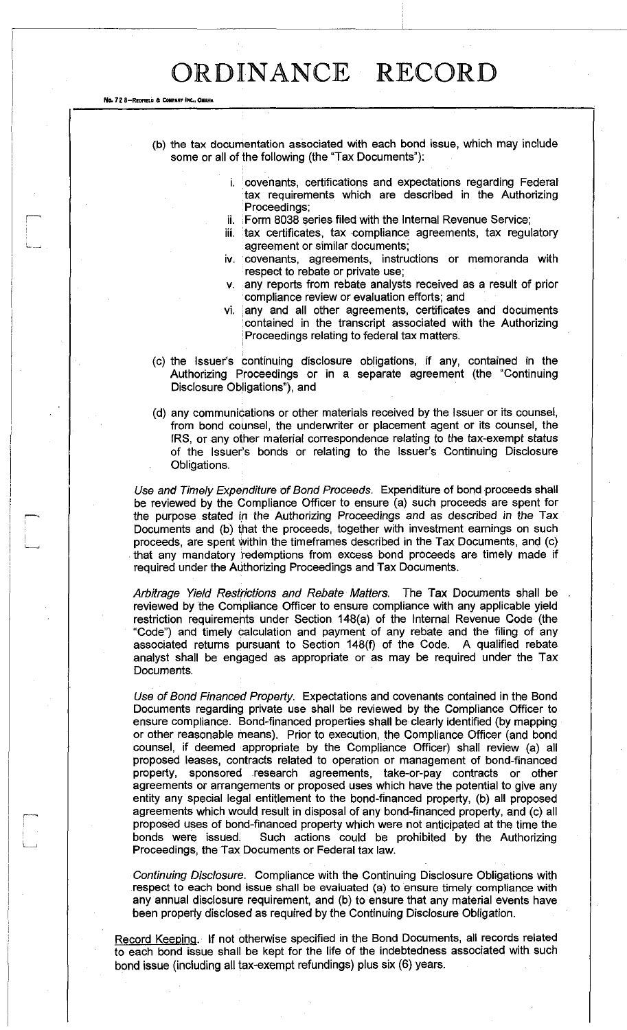No. 72 8-REDFIELD & COMPANY INC., C

(b) the tax documentation associated with each bond issue, which may include some or all of the following (the "Tax Documents"):

- $i.$  covenants, certifications and expectations regarding Federal tax requirements which are described in the Authorizing Proceedings;
- ii. Form 8038 series filed with the Internal Revenue Service;
- iii. tax certificates, tax compliance agreements, tax regulatory agreement or similar documents;
- iv. covenants, agreements, instructions or memoranda with respect to rebate or private use;
- v. any reports from rebate analysts received as a result of prior compliance review or evaluation efforts; and
- vi. | any and all other agreements, certificates and documents : contained in the transcript associated with the Authorizing Proceedings relating to federal tax matters.
- (c) the Issuer's continuing disclosure obligations, if any, contained in the Authorizing Proceedings or in a separate agreement (the "Continuing Disclosure Obligations"), and
- (d) any communications or other materials received by the Issuer or its counsel, from bond counsel, the underwriter or placement agent or its counsel, the [RS, or any other material correspondence relating to the tax-exempt status of the Issuer's bonds or relating to the Issuer's Continuing Disclosure Obligations.

*Use and Timely Expenditure of Bond Proceeds.* Expenditure of bond proceeds shall be reviewed by the Compliance Officer to ensure (a) such proceeds are spent for the purpose stated in the Authorizing Proceedings and as described in the Tax Documents and (b) that the proceeds, together with investment earnings on such proceeds, are spent within the timeframes described in the Tax Documents, and (c) that any mandatory redemptions from excess bond proceeds are timely made if required under the Authorizing Proceedings and Tax Documents.

*Arbitrage Yield Restrictions and Rebate Matters.* The Tax Documents shall be reviewed by the Compliance Officer to ensure compliance with any applicable yield restriction requirements under Section 148(a) of the Internal Revenue Code (the "Code") and timely calculation and payment of any rebate and the filing of any associated returns pursuant to Section 148(f) of the Code. A qualified rebate analyst shall be engaged as appropriate or as may be required under the Tax Documents.

*Use of Bond Financed Property.* Expectations and covenants contained in the Bond Documents regarding private use shall be reviewed by the Compliance Officer to ensure compliance. Bond-financed properties shall be clearly identified (by mapping or other reasonable means). Prior to execution, the Compliance Officer (and bond counsel, if deemed appropriate by the Compliance Officer) shall review (a) all proposed leases, contracts related to operation or management of bond-financed property, sponsored research agreements, take-or-pay contracts or other agreements or arrangements or proposed uses which have the potential to give any entity any special legal entitlement to the bond-financed property, (b) all proposed agreements which would result in disposal of any bond-financed property, and (c) all proposed uses of bond-financed property which were not anticipated at the time the bonds were issued; Such actions could be prohibited by the Authorizing Proceedings, the Tax Documents or Federal tax law.

*Continuing Disclosure.* Compliance with the Continuing Disclosure Obligations with respect to each bond issue shall be evaluated (a) to ensure timely compliance with any annual disclosure requirement, and (b) to ensure that any material events have been properly disclosed as required by the Continuing Disclosure Obligation.

Record Keeping. If not otherwise specified in the Bond Documents, all records related to each bond issue shall be kept for the life of the indebtedness associated with such bond issue (including all tax-exempt refundings) plus six (6) years.